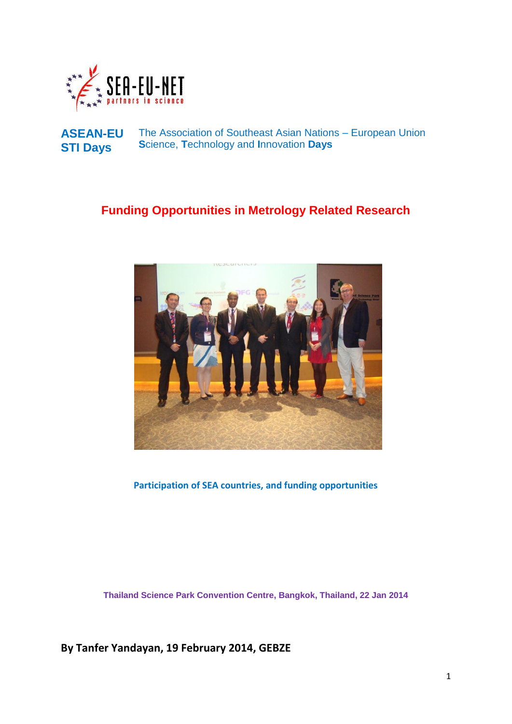



### **Funding Opportunities in Metrology Related Research**



**Participation of SEA countries, and funding opportunities**

**Thailand Science Park Convention Centre, Bangkok, Thailand, 22 Jan 2014**

**By Tanfer Yandayan, 19 February 2014, GEBZE**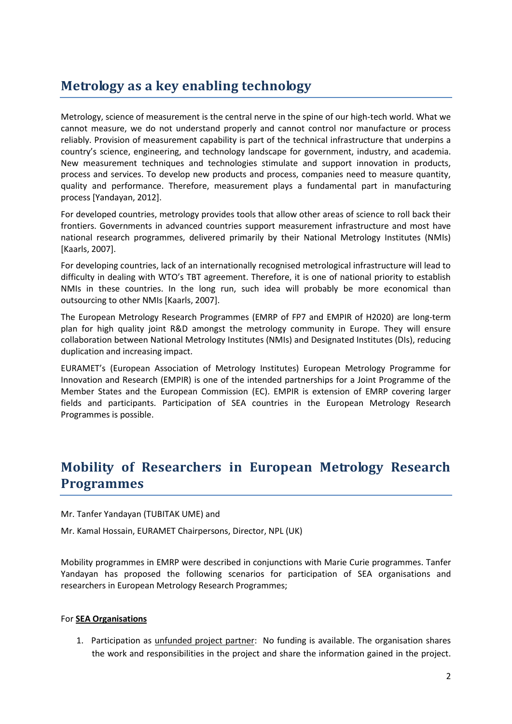## **Metrology as a key enabling technology**

Metrology, science of measurement is the central nerve in the spine of our high-tech world. What we cannot measure, we do not understand properly and cannot control nor manufacture or process reliably. Provision of measurement capability is part of the technical infrastructure that underpins a country's science, engineering, and technology landscape for government, industry, and academia. New measurement techniques and technologies stimulate and support innovation in products, process and services. To develop new products and process, companies need to measure quantity, quality and performance. Therefore, measurement plays a fundamental part in manufacturing process [Yandayan, 2012].

For developed countries, metrology provides tools that allow other areas of science to roll back their frontiers. Governments in advanced countries support measurement infrastructure and most have national research programmes, delivered primarily by their National Metrology Institutes (NMIs) [Kaarls, 2007].

For developing countries, lack of an internationally recognised metrological infrastructure will lead to difficulty in dealing with WTO's TBT agreement. Therefore, it is one of national priority to establish NMIs in these countries. In the long run, such idea will probably be more economical than outsourcing to other NMIs [Kaarls, 2007].

The European Metrology Research Programmes (EMRP of FP7 and EMPIR of H2020) are long-term plan for high quality joint R&D amongst the metrology community in Europe. They will ensure collaboration between National Metrology Institutes (NMIs) and Designated Institutes (DIs), reducing duplication and increasing impact.

EURAMET's (European Association of Metrology Institutes) European Metrology Programme for Innovation and Research (EMPIR) is one of the intended partnerships for a Joint Programme of the Member States and the European Commission (EC). EMPIR is extension of EMRP covering larger fields and participants. Participation of SEA countries in the European Metrology Research Programmes is possible.

# **Mobility of Researchers in European Metrology Research Programmes**

Mr. Tanfer Yandayan (TUBITAK UME) and

Mr. Kamal Hossain, EURAMET Chairpersons, Director, NPL (UK)

Mobility programmes in EMRP were described in conjunctions with Marie Curie programmes. Tanfer Yandayan has proposed the following scenarios for participation of SEA organisations and researchers in European Metrology Research Programmes;

### For **SEA Organisations**

1. Participation as unfunded project partner: No funding is available. The organisation shares the work and responsibilities in the project and share the information gained in the project.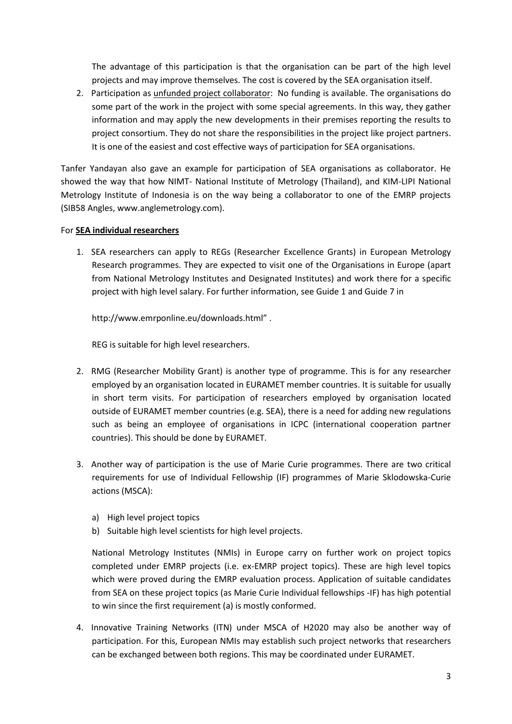The advantage of this participation is that the organisation can be part of the high level projects and may improve themselves. The cost is covered by the SEA organisation itself.

2. Participation as unfunded project collaborator: No funding is available. The organisations do some part of the work in the project with some special agreements. In this way, they gather information and may apply the new developments in their premises reporting the results to project consortium. They do not share the responsibilities in the project like project partners. It is one of the easiest and cost effective ways of participation for SEA organisations.

Tanfer Yandayan also gave an example for participation of SEA organisations as collaborator. He showed the way that how NIMT- National Institute of Metrology (Thailand), and KIM-LIPI National Metrology Institute of Indonesia is on the way being a collaborator to one of the EMRP projects (SIB58 Angles, www.anglemetrology.com).

### For **SEA individual researchers**

1. SEA researchers can apply to REGs (Researcher Excellence Grants) in European Metrology Research programmes. They are expected to visit one of the Organisations in Europe (apart from National Metrology Institutes and Designated Institutes) and work there for a specific project with high level salary. For further information, see Guide 1 and Guide 7 in

http://www.emrponline.eu/downloads.html" .

REG is suitable for high level researchers.

- 2. RMG (Researcher Mobility Grant) is another type of programme. This is for any researcher employed by an organisation located in EURAMET member countries. It is suitable for usually in short term visits. For participation of researchers employed by organisation located outside of EURAMET member countries (e.g. SEA), there is a need for adding new regulations such as being an employee of organisations in ICPC (international cooperation partner countries). This should be done by EURAMET.
- 3. Another way of participation is the use of Marie Curie programmes. There are two critical requirements for use of Individual Fellowship (IF) programmes of Marie Sklodowska-Curie actions (MSCA):
	- a) High level project topics
	- b) Suitable high level scientists for high level projects.

National Metrology Institutes (NMIs) in Europe carry on further work on project topics completed under EMRP projects (i.e. ex-EMRP project topics). These are high level topics which were proved during the EMRP evaluation process. Application of suitable candidates from SEA on these project topics (as Marie Curie Individual fellowships -IF) has high potential to win since the first requirement (a) is mostly conformed.

4. Innovative Training Networks (ITN) under MSCA of H2020 may also be another way of participation. For this, European NMIs may establish such project networks that researchers can be exchanged between both regions. This may be coordinated under EURAMET.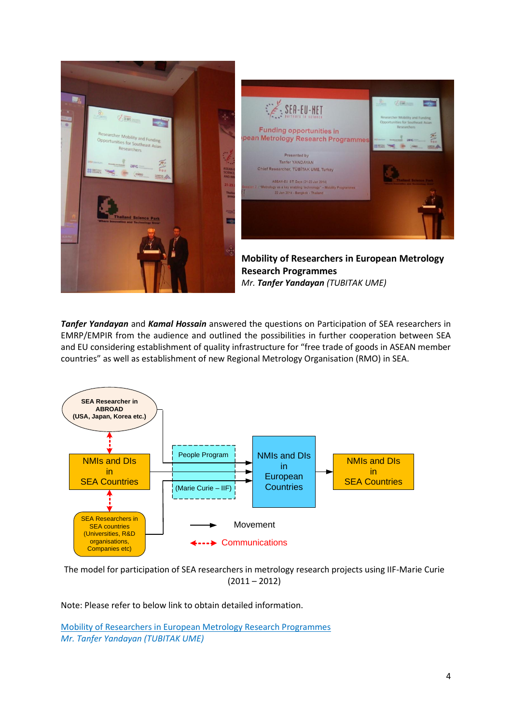

*Tanfer Yandayan* and *Kamal Hossain* answered the questions on Participation of SEA researchers in EMRP/EMPIR from the audience and outlined the possibilities in further cooperation between SEA and EU considering establishment of quality infrastructure for "free trade of goods in ASEAN member countries" as well as establishment of new Regional Metrology Organisation (RMO) in SEA.



The model for participation of SEA researchers in metrology research projects using IIF-Marie Curie  $(2011 - 2012)$ 

Note: Please refer to below link to obtain detailed information.

Mobility of Researchers in European Metrology Research Programmes *Mr. Tanfer Yandayan (TUBITAK UME)*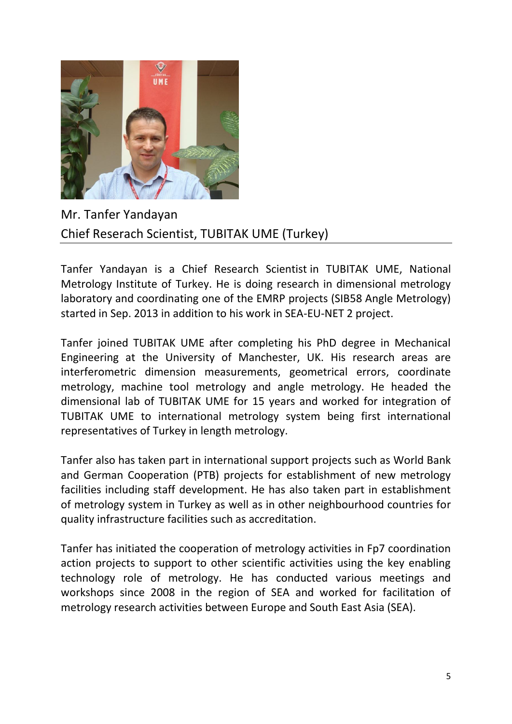

Mr. Tanfer Yandayan Chief Reserach Scientist, TUBITAK UME (Turkey)

Tanfer Yandayan is a Chief Research Scientist in TUBITAK UME, National Metrology Institute of Turkey. He is doing research in dimensional metrology laboratory and coordinating one of the EMRP projects (SIB58 Angle Metrology) started in Sep. 2013 in addition to his work in SEA-EU-NET 2 project.

Tanfer joined TUBITAK UME after completing his PhD degree in Mechanical Engineering at the University of Manchester, UK. His research areas are interferometric dimension measurements, geometrical errors, coordinate metrology, machine tool metrology and angle metrology. He headed the dimensional lab of TUBITAK UME for 15 years and worked for integration of TUBITAK UME to international metrology system being first international representatives of Turkey in length metrology.

Tanfer also has taken part in international support projects such as World Bank and German Cooperation (PTB) projects for establishment of new metrology facilities including staff development. He has also taken part in establishment of metrology system in Turkey as well as in other neighbourhood countries for quality infrastructure facilities such as accreditation.

Tanfer has initiated the cooperation of metrology activities in Fp7 coordination action projects to support to other scientific activities using the key enabling technology role of metrology. He has conducted various meetings and workshops since 2008 in the region of SEA and worked for facilitation of metrology research activities between Europe and South East Asia (SEA).